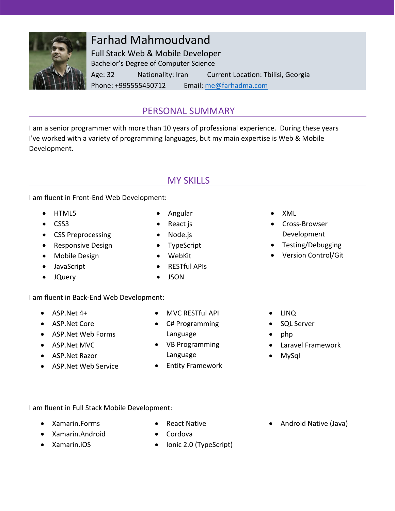

# Farhad Mahmoudvand

Full Stack Web & Mobile Developer Bachelor's Degree of Computer Science Age: 32 Nationality: Iran Current Location: Tbilisi, Georgia Phone: +995555450712 Email: [me@farhadma.com](mailto:me@farhadma.com)

## PERSONAL SUMMARY

I am a senior programmer with more than 10 years of professional experience. During these years I've worked with a variety of programming languages, but my main expertise is Web & Mobile Development.

# MY SKILLS

I am fluent in Front-End Web Development:

- HTML5
- CSS3
- CSS Preprocessing
- Responsive Design
- Mobile Design
- JavaScript
- JQuery
- Angular • React is
- Node.js
- TypeScript
- WebKit
- **•** RESTful APIs

### I am fluent in Back-End Web Development:

- $\bullet$  ASP. Net 4+
- ASP.Net Core
- ASP.Net Web Forms
- ASP.Net MVC
- ASP.Net Razor
- ASP.Net Web Service
- MVC RESTful API
- C# Programming Language
- VB Programming Language
- **•** Entity Framework
- XML
- Cross-Browser Development
- Testing/Debugging
- Version Control/Git
- LINO
- SQL Server
- $\bullet$  php
- Laravel Framework
- MySql

- I am fluent in Full Stack Mobile Development:
	- Xamarin.Forms
- React Native • Cordova
- Xamarin.Android Xamarin.iOS
- Ionic 2.0 (TypeScript)
- Android Native (Java)

• JSON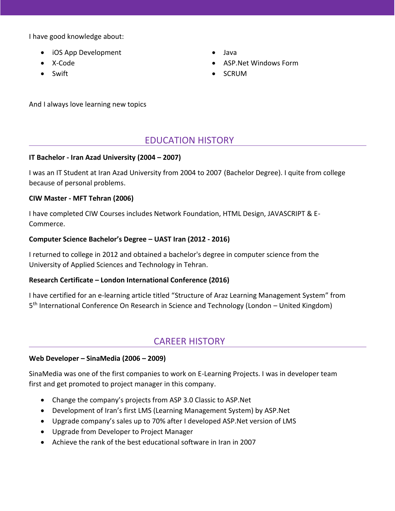I have good knowledge about:

- iOS App Development
- X-Code
- Swift
- Java
- ASP.Net Windows Form
- SCRUM

And I always love learning new topics

### EDUCATION HISTORY

#### **IT Bachelor - Iran Azad University (2004 – 2007)**

I was an IT Student at Iran Azad University from 2004 to 2007 (Bachelor Degree). I quite from college because of personal problems.

#### **CIW Master - MFT Tehran (2006)**

I have completed CIW Courses includes Network Foundation, HTML Design, JAVASCRIPT & E-Commerce.

#### **Computer Science Bachelor's Degree – UAST Iran (2012 - 2016)**

I returned to college in 2012 and obtained a bachelor's degree in computer science from the University of Applied Sciences and Technology in Tehran.

### **Research Certificate – London International Conference (2016)**

I have certified for an e-learning article titled "Structure of Araz Learning Management System" from 5<sup>th</sup> International Conference On Research in Science and Technology (London - United Kingdom)

### CAREER HISTORY

### **Web Developer – SinaMedia (2006 – 2009)**

SinaMedia was one of the first companies to work on E-Learning Projects. I was in developer team first and get promoted to project manager in this company.

- Change the company's projects from ASP 3.0 Classic to ASP.Net
- Development of Iran's first LMS (Learning Management System) by ASP.Net
- Upgrade company's sales up to 70% after I developed ASP.Net version of LMS
- Upgrade from Developer to Project Manager
- Achieve the rank of the best educational software in Iran in 2007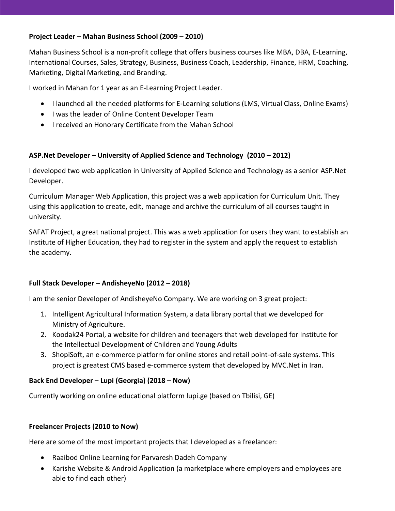#### **Project Leader – Mahan Business School (2009 – 2010)**

Mahan Business School is a non-profit college that offers business courses like MBA, DBA, E-Learning, International Courses, Sales, Strategy, Business, Business Coach, Leadership, Finance, HRM, Coaching, Marketing, Digital Marketing, and Branding.

I worked in Mahan for 1 year as an E-Learning Project Leader.

- I launched all the needed platforms for E-Learning solutions (LMS, Virtual Class, Online Exams)
- I was the leader of Online Content Developer Team
- I received an Honorary Certificate from the Mahan School

### **ASP.Net Developer – University of Applied Science and Technology (2010 – 2012)**

I developed two web application in University of Applied Science and Technology as a senior ASP.Net Developer.

Curriculum Manager Web Application, this project was a web application for Curriculum Unit. They using this application to create, edit, manage and archive the curriculum of all courses taught in university.

SAFAT Project, a great national project. This was a web application for users they want to establish an Institute of Higher Education, they had to register in the system and apply the request to establish the academy.

### **Full Stack Developer – AndisheyeNo (2012 – 2018)**

I am the senior Developer of AndisheyeNo Company. We are working on 3 great project:

- 1. Intelligent Agricultural Information System, a data library portal that we developed for Ministry of Agriculture.
- 2. Koodak24 Portal, a website for children and teenagers that web developed for Institute for the Intellectual Development of Children and Young Adults
- 3. ShopiSoft, an e-commerce platform for online stores and retail point-of-sale systems. This project is greatest CMS based e-commerce system that developed by MVC.Net in Iran.

### **Back End Developer – Lupi (Georgia) (2018 – Now)**

Currently working on online educational platform lupi.ge (based on Tbilisi, GE)

### **Freelancer Projects (2010 to Now)**

Here are some of the most important projects that I developed as a freelancer:

- Raaibod Online Learning for Parvaresh Dadeh Company
- Karishe Website & Android Application (a marketplace where employers and employees are able to find each other)